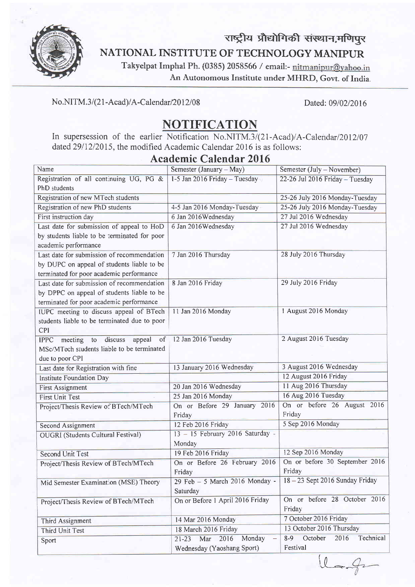

# NATIONAL INSTITUTE OF TECHNOLOGY MANIPUR राष्ट्रीय प्रौद्योगिकी संस्थान,मणिपुर

Takyelpat Imrphal Ph. (0385) 2058566 / ernail:- An Autonomous Institute under MHRD, Govt. of India.

#### No.NITM.3/(21-Acad)/A-Calendar/2012/08 Dated: 09/02/2016

## NOTIFICATION

In supersession of the earlier Notification No.NITM.3/(21-Acad)/A-Calendar/2012/07 dated  $29/12/2015$ , the modified Academic Calendar 2016 is as follows:

### Academic Calendar 2016

| Name                                                    | Semester (January – May)           | Semester (July - November)              |
|---------------------------------------------------------|------------------------------------|-----------------------------------------|
| Registration of all continuing UG, PG &                 | 1-5 Jan 2016 Friday - Tuesday      | 22-26 Jul 2016 Friday - Tuesday         |
| PhD students                                            |                                    |                                         |
| Registration of new MTech students                      |                                    | 25-26 July 2016 Monday-Tuesday          |
| Registration of new PhD students                        | 4-5 Jan 2016 Monday-Tuesday        | 25-26 July 2016 Monday-Tuesday          |
| First instruction day                                   | 6 Jan 2016 Wednesday               | 27 Jul 2016 Wednesday                   |
| Last date for submission of appeal to HoD               | 6 Jan 2016 Wednesday               | 27 Jul 2016 Wednesday                   |
| by students liable to be terminated for poor            |                                    |                                         |
| academic performance                                    |                                    |                                         |
| Last date for submission of recommendation              | 7 Jan 2016 Thursday                | 28 July 2016 Thursday                   |
| by DUPC on appeal of students liable to be              |                                    |                                         |
| terminated for poor academic performance                |                                    |                                         |
| Last date for submission of recommendation              | 8 Jan 2016 Friday                  | 29 July 2016 Friday                     |
| by DPPC on appeal of students liable to be              |                                    |                                         |
| terminated for poor academic performance                |                                    |                                         |
| IUPC meeting to discuss appeal of BTech                 | 11 Jan 2016 Monday                 | 1 August 2016 Monday                    |
| students liable to be terminated due to poor            |                                    |                                         |
| <b>CPI</b>                                              |                                    |                                         |
| discuss<br>appeal<br>meeting<br>to<br>of<br><b>IPPC</b> | 12 Jan 2016 Tuesday                | 2 August 2016 Tuesday                   |
| MSc/MTech students liable to be terminated              |                                    |                                         |
| due to poor CPI                                         |                                    |                                         |
| Last date for Registration with fine                    | 13 January 2016 Wednesday          | 3 August 2016 Wednesday                 |
| Institute Foundation Day                                |                                    | 12 August 2016 Friday                   |
| <b>First Assignment</b>                                 | 20 Jan 2016 Wednesday              | 11 Aug 2016 Thursday                    |
| <b>First Unit Test</b>                                  | 25 Jan 2016 Monday                 | 16 Aug 2016 Tuesday                     |
| Project/Thesis Review of BTech/MTech                    | On or Before 29 January 2016       | On or before 26 August 2016             |
|                                                         | Friday                             | Friday                                  |
| <b>Second Assignment</b>                                | 12 Feb 2016 Friday                 | 5 Sep 2016 Monday                       |
| <b>OUGRI</b> (Students Cultural Festival)               | 13 - 15 February 2016 Saturday -   |                                         |
|                                                         | Monday                             |                                         |
| <b>Second Unit Test</b>                                 | 19 Feb 2016 Friday                 | 12 Sep 2016 Monday                      |
| Project/Thesis Review of BTech/MTech                    | On or Before 26 February 2016      | On or before 30 September 2016          |
|                                                         | Friday                             | Friday                                  |
| Mid Semester Examination (MSE) Theory                   | 29 Feb - 5 March 2016 Monday -     | 18-23 Sept 2016 Sunday Friday           |
|                                                         | Saturday                           |                                         |
| Project/Thesis Review of BTech/MTech                    | On or Before 1 April 2016 Friday   | On or before 28 October 2016            |
|                                                         |                                    | Friday                                  |
| Third Assignment                                        | 14 Mar 2016 Monday                 | 7 October 2016 Friday                   |
| Third Unit Test                                         | 18 March 2016 Friday               | 13 October 2016 Thursday                |
| Sport                                                   | Monday<br>2016<br>Mar<br>$21 - 23$ | Technical<br>October<br>2016<br>$8 - 9$ |
|                                                         | Wednesday (Yaoshang Sport)         | Festival                                |

 $u_{-}$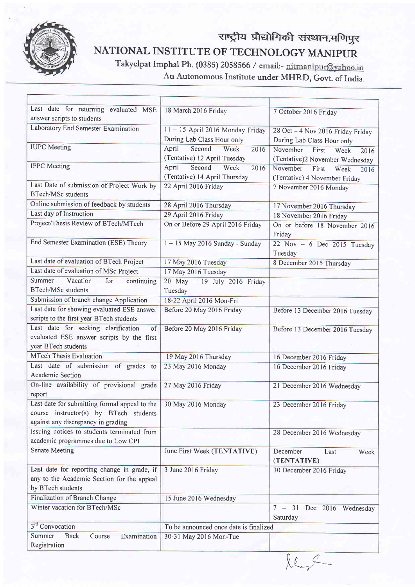

## NATIONAL INSTITUTE OF TECHNOLOGY MANIPUR Takyelpat nrnphal Ph. (0385) 2058566 / email:- राष्ट्रीय प्रौद्योगिकी संस्थान,मणिपुर

An Autonomous Institute under MHRD, Govt. of India.

| Last date for returning evaluated MSE                            | 18 March 2016 Friday                   | 7 October 2016 Friday             |
|------------------------------------------------------------------|----------------------------------------|-----------------------------------|
| answer scripts to students                                       |                                        |                                   |
| Laboratory End Semester Examination                              | $11 - 15$ April 2016 Monday Friday     | 28 Oct - 4 Nov 2016 Friday Friday |
|                                                                  | During Lab Class Hour only             | During Lab Class Hour only        |
| <b>IUPC</b> Meeting                                              | April<br>Second<br>Week<br>2016        | November<br>First<br>Week<br>2016 |
|                                                                  | (Tentative) 12 April Tuesday           | (Tentative)2 November Wednesday   |
| <b>IPPC</b> Meeting                                              | April<br>Second<br>Week<br>2016        | November<br>First<br>Week<br>2016 |
|                                                                  | (Tentative) 14 April Thursday          | (Tentative) 4 November Friday     |
| Last Date of submission of Project Work by                       | 22 April 2016 Friday                   | 7 November 2016 Monday            |
| <b>BTech/MSc students</b>                                        |                                        |                                   |
| Online submission of feedback by students                        | 28 April 2016 Thursday                 | 17 November 2016 Thursday         |
| Last day of Instruction                                          | 29 April 2016 Friday                   | 18 November 2016 Friday           |
| Project/Thesis Review of BTech/MTech                             | On or Before 29 April 2016 Friday      | On or before 18 November 2016     |
|                                                                  |                                        | Friday                            |
| End Semester Examination (ESE) Theory                            | 1-15 May 2016 Sunday - Sunday          | 22 Nov - 6 Dec 2015 Tuesday       |
|                                                                  |                                        | Tuesday                           |
| Last date of evaluation of BTech Project                         | 17 May 2016 Tuesday                    | 8 December 2015 Thursday          |
| Last date of evaluation of MSc Project                           | 17 May 2016 Tuesday                    |                                   |
| Vacation<br>Summer<br>for<br>continuing                          | 20 May - 19 July 2016 Friday           |                                   |
| <b>BTech/MSc students</b>                                        | Tuesday                                |                                   |
| Submission of branch change Application                          | 18-22 April 2016 Mon-Fri               |                                   |
| Last date for showing evaluated ESE answer                       | Before 20 May 2016 Friday              | Before 13 December 2016 Tuesday   |
| scripts to the first year BTech students                         |                                        |                                   |
| Last date for seeking clarification<br>of                        | Before 20 May 2016 Friday              | Before 13 December 2016 Tuesday   |
| evaluated ESE answer scripts by the first<br>year BTech students |                                        |                                   |
| <b>MTech Thesis Evaluation</b>                                   |                                        |                                   |
|                                                                  | 19 May 2016 Thursday                   | 16 December 2016 Friday           |
| Last date of submission of grades to<br>Academic Section         | 23 May 2016 Monday                     | 16 December 2016 Friday           |
| On-line availability of provisional grade                        | 27 May 2016 Friday                     |                                   |
| report                                                           |                                        | 21 December 2016 Wednesday        |
| Last date for submitting formal appeal to the                    | 30 May 2016 Monday                     |                                   |
| course instructor(s) by BTech students                           |                                        | 23 December 2016 Friday           |
| against any discrepancy in grading                               |                                        |                                   |
| Issuing notices to students terminated from                      |                                        | 28 December 2016 Wednesday        |
| academic programmes due to Low CPI                               |                                        |                                   |
| <b>Senate Meeting</b>                                            | June First Week (TENTATIVE)            | December<br>Last<br>Week          |
|                                                                  |                                        | (TENTATIVE)                       |
| Last date for reporting change in grade, if                      | 3 June 2016 Friday                     | 30 December 2016 Friday           |
| any to the Academic Section for the appeal                       |                                        |                                   |
| by BTech students                                                |                                        |                                   |
| Finalization of Branch Change                                    | 15 June 2016 Wednesday                 |                                   |
| Winter vacation for BTech/MSc                                    |                                        | $7 - 31$<br>Dec 2016 Wednesday    |
|                                                                  |                                        | Saturday                          |
| 3 <sup>rd</sup> Convocation                                      | To be announced once date is finalized |                                   |
| <b>Back</b><br>Examination<br>Summer<br>Course                   | 30-31 May 2016 Mon-Tue                 |                                   |
| Registration                                                     |                                        |                                   |

 $x^2$